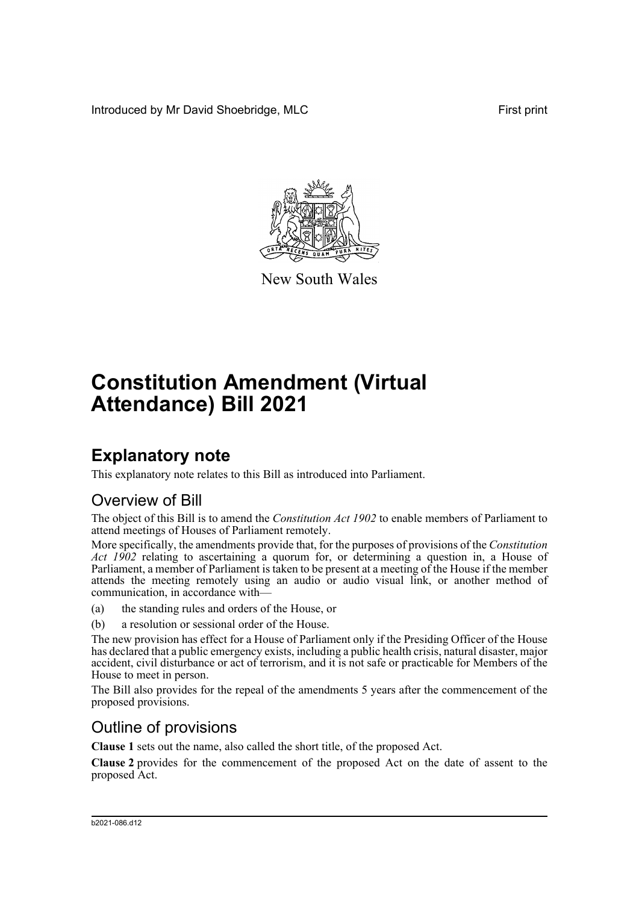Introduced by Mr David Shoebridge, MLC First print



New South Wales

# **Constitution Amendment (Virtual Attendance) Bill 2021**

### **Explanatory note**

This explanatory note relates to this Bill as introduced into Parliament.

#### Overview of Bill

The object of this Bill is to amend the *Constitution Act 1902* to enable members of Parliament to attend meetings of Houses of Parliament remotely.

More specifically, the amendments provide that, for the purposes of provisions of the *Constitution Act 1902* relating to ascertaining a quorum for, or determining a question in, a House of Parliament, a member of Parliament is taken to be present at a meeting of the House if the member attends the meeting remotely using an audio or audio visual link, or another method of communication, in accordance with—

(a) the standing rules and orders of the House, or

(b) a resolution or sessional order of the House.

The new provision has effect for a House of Parliament only if the Presiding Officer of the House has declared that a public emergency exists, including a public health crisis, natural disaster, major accident, civil disturbance or act of terrorism, and it is not safe or practicable for Members of the House to meet in person.

The Bill also provides for the repeal of the amendments 5 years after the commencement of the proposed provisions.

#### Outline of provisions

**Clause 1** sets out the name, also called the short title, of the proposed Act.

**Clause 2** provides for the commencement of the proposed Act on the date of assent to the proposed Act.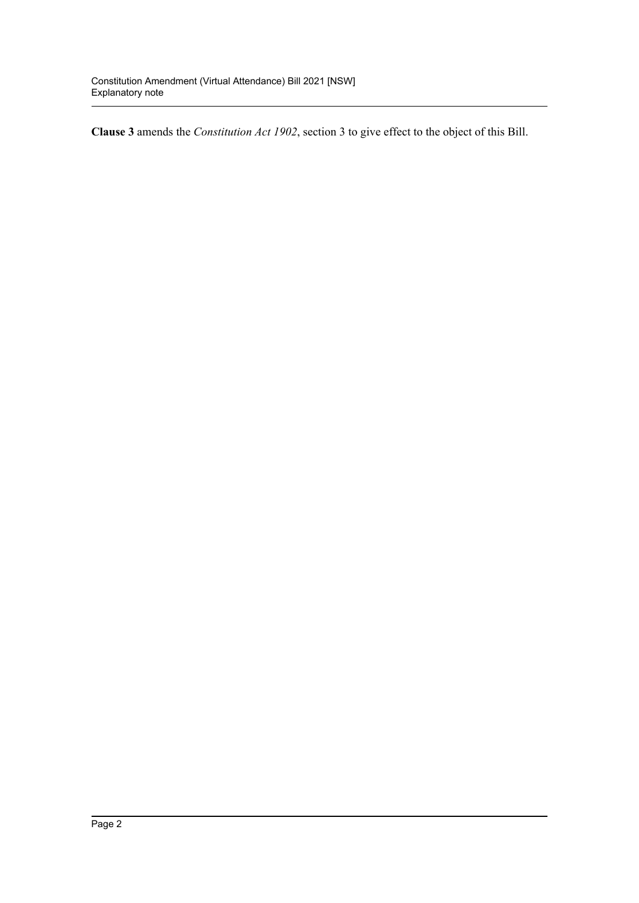**Clause 3** amends the *Constitution Act 1902*, section 3 to give effect to the object of this Bill.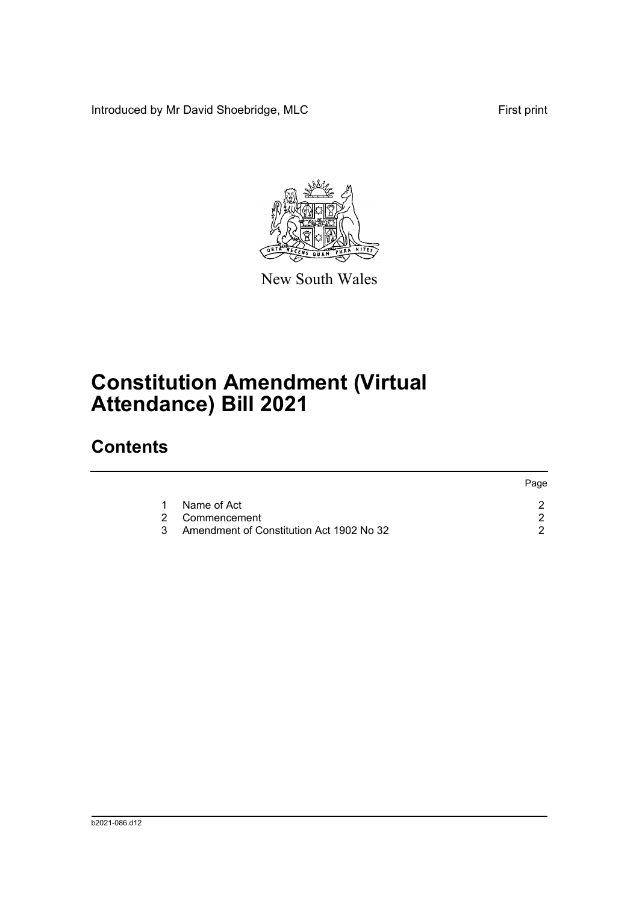Introduced by Mr David Shoebridge, MLC First print

Page



New South Wales

# **Constitution Amendment (Virtual Attendance) Bill 2021**

## **Contents**

|   |                                            | rage. |
|---|--------------------------------------------|-------|
| 1 | Name of Act                                |       |
|   | 2 Commencement                             |       |
|   | 3 Amendment of Constitution Act 1902 No 32 |       |
|   |                                            |       |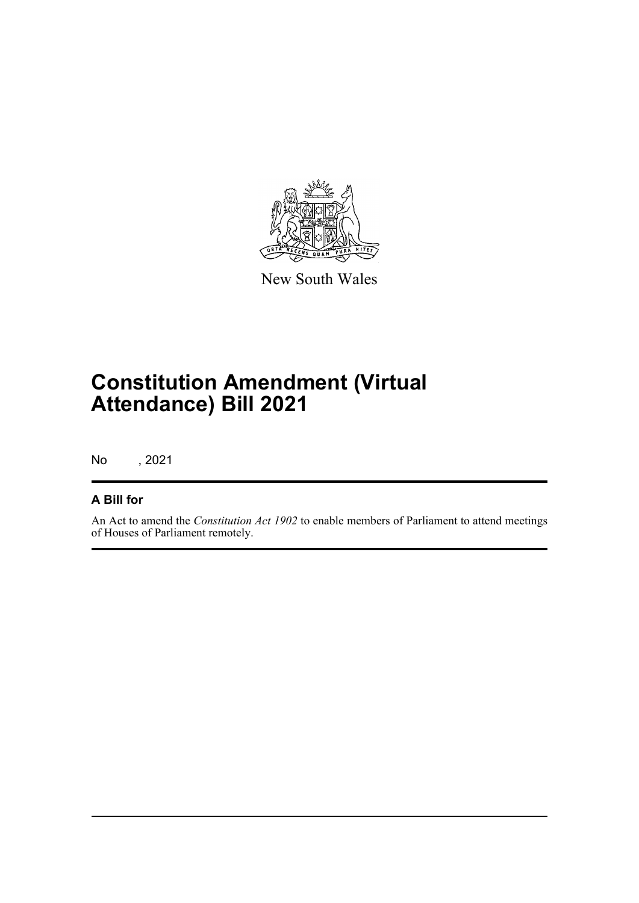

New South Wales

## **Constitution Amendment (Virtual Attendance) Bill 2021**

No , 2021

#### **A Bill for**

An Act to amend the *Constitution Act 1902* to enable members of Parliament to attend meetings of Houses of Parliament remotely.